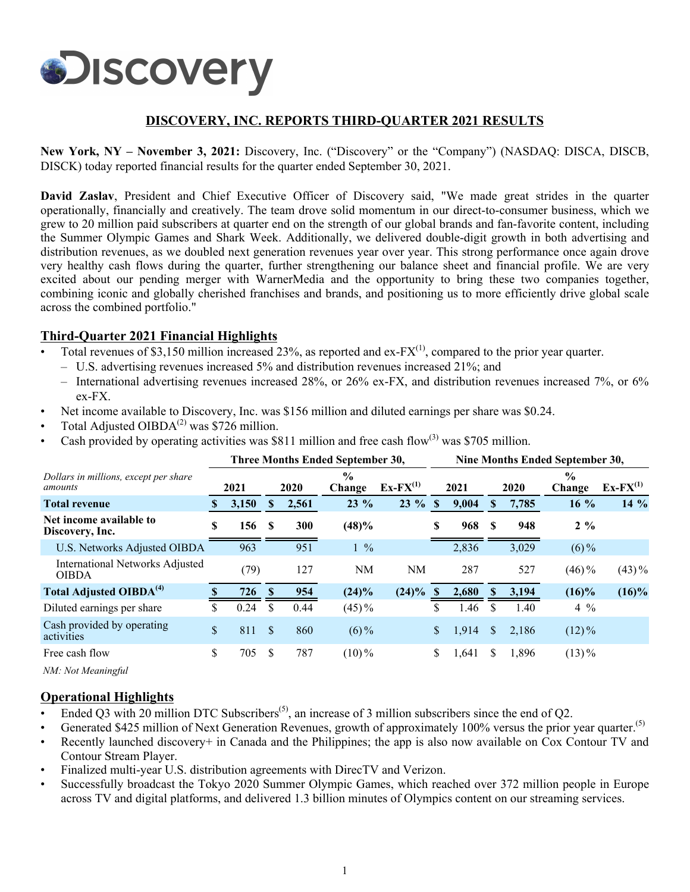

# **DISCOVERY, INC. REPORTS THIRD-QUARTER 2021 RESULTS**

**New York, NY – November 3, 2021:** Discovery, Inc. ("Discovery" or the "Company") (NASDAQ: DISCA, DISCB, DISCK) today reported financial results for the quarter ended September 30, 2021.

**David Zaslav**, President and Chief Executive Officer of Discovery said, "We made great strides in the quarter operationally, financially and creatively. The team drove solid momentum in our direct-to-consumer business, which we grew to 20 million paid subscribers at quarter end on the strength of our global brands and fan-favorite content, including the Summer Olympic Games and Shark Week. Additionally, we delivered double-digit growth in both advertising and distribution revenues, as we doubled next generation revenues year over year. This strong performance once again drove very healthy cash flows during the quarter, further strengthening our balance sheet and financial profile. We are very excited about our pending merger with WarnerMedia and the opportunity to bring these two companies together, combining iconic and globally cherished franchises and brands, and positioning us to more efficiently drive global scale across the combined portfolio."

## **Third-Quarter 2021 Financial Highlights**

- Total revenues of \$3,150 million increased 23%, as reported and  $ex$ - $FX^{(1)}$ , compared to the prior year quarter.
	- U.S. advertising revenues increased 5% and distribution revenues increased 21%; and
	- International advertising revenues increased 28%, or 26% ex-FX, and distribution revenues increased 7%, or 6% ex-FX.
- Net income available to Discovery, Inc. was \$156 million and diluted earnings per share was \$0.24.
- Total Adjusted OIBD $A^{(2)}$  was \$726 million.
- Cash provided by operating activities was \$811 million and free cash flow<sup>(3)</sup> was \$705 million.

|                                                        |            |               |       | <b>Three Months Ended September 30,</b> |               | Nine Months Ended September 30, |       |    |       |                         |               |  |  |  |  |  |
|--------------------------------------------------------|------------|---------------|-------|-----------------------------------------|---------------|---------------------------------|-------|----|-------|-------------------------|---------------|--|--|--|--|--|
| Dollars in millions, except per share<br>amounts       | 2021       |               | 2020  | $\frac{0}{0}$<br>Change                 | $Ex-FX^{(1)}$ |                                 | 2021  |    | 2020  | $\frac{0}{0}$<br>Change | $Ex-FX^{(1)}$ |  |  |  |  |  |
| <b>Total revenue</b>                                   | 3,150      | S             | 2,561 | $23\%$                                  | $23 \%$ \$    |                                 | 9,004 | \$ | 7,785 | $16\%$                  | $14\%$        |  |  |  |  |  |
| Net income available to<br>Discovery, Inc.             | \$<br>156  | - \$          | 300   | (48)%                                   |               | \$                              | 968   | -S | 948   | $2\%$                   |               |  |  |  |  |  |
| U.S. Networks Adjusted OIBDA                           | 963        |               | 951   | $\frac{0}{0}$                           |               |                                 | 2,836 |    | 3,029 | $(6)\%$                 |               |  |  |  |  |  |
| <b>International Networks Adjusted</b><br><b>OIBDA</b> | (79)       |               | 127   | NM                                      | <b>NM</b>     |                                 | 287   |    | 527   | $(46)\%$                | $(43)\%$      |  |  |  |  |  |
| Total Adjusted OIBDA <sup>(4)</sup>                    | 726        | $\mathbf{s}$  | 954   | $(24)\%$                                | $(24)\%$      |                                 | 2,680 |    | 3,194 | $(16)\%$                | $(16)\%$      |  |  |  |  |  |
| Diluted earnings per share                             | \$<br>0.24 | \$            | 0.44  | $(45)\%$                                |               | \$                              | .46   | \$ | 1.40  | $4\frac{9}{6}$          |               |  |  |  |  |  |
| Cash provided by operating<br>activities               | \$<br>811  | <sup>\$</sup> | 860   | $(6)\%$                                 |               | \$                              | 1,914 | \$ | 2,186 | $(12)\%$                |               |  |  |  |  |  |
| Free cash flow                                         | \$<br>705  | \$.           | 787   | $(10)\%$                                |               | \$                              | 1,641 | \$ | 1,896 | $(13)\%$                |               |  |  |  |  |  |

 *NM: Not Meaningful*

# **Operational Highlights**

- Ended Q3 with 20 million DTC Subscribers<sup>(5)</sup>, an increase of 3 million subscribers since the end of Q2.
- Generated \$425 million of Next Generation Revenues, growth of approximately 100% versus the prior year quarter.<sup>(5)</sup>
- Recently launched discovery in Canada and the Philippines; the app is also now available on Cox Contour TV and Contour Stream Player.
- Finalized multi-year U.S. distribution agreements with DirecTV and Verizon.
- Successfully broadcast the Tokyo 2020 Summer Olympic Games, which reached over 372 million people in Europe across TV and digital platforms, and delivered 1.3 billion minutes of Olympics content on our streaming services.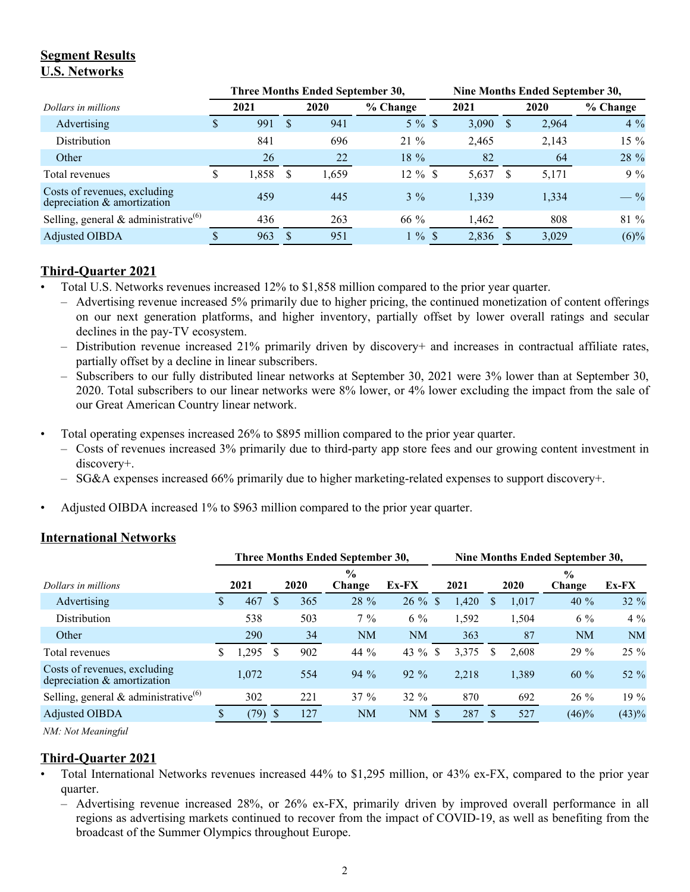# **Segment Results U.S. Networks**

|                                                             |    |       |     | Three Months Ended September 30, |            | Nine Months Ended September 30, |       |    |       |                 |  |  |  |
|-------------------------------------------------------------|----|-------|-----|----------------------------------|------------|---------------------------------|-------|----|-------|-----------------|--|--|--|
| Dollars in millions                                         |    | 2021  |     | 2020                             | % Change   |                                 | 2021  |    | 2020  | % Change        |  |  |  |
| Advertising                                                 | ъ. | 991   | -S  | 941                              | $5\%$ \$   |                                 | 3,090 | -S | 2,964 | $4\%$           |  |  |  |
| <b>Distribution</b>                                         |    | 841   |     | 696                              | $21\%$     |                                 | 2,465 |    | 2,143 | 15 %            |  |  |  |
| Other                                                       |    | 26    |     | 22                               | 18 %       |                                 | 82    |    | 64    | 28 %            |  |  |  |
| Total revenues                                              | S  | 1,858 | - S | 1,659                            | $12 \%$ \$ |                                 | 5,637 | -S | 5,171 | $9\%$           |  |  |  |
| Costs of revenues, excluding<br>depreciation & amortization |    | 459   |     | 445                              | $3\%$      |                                 | 1.339 |    | 1,334 | $- \frac{9}{6}$ |  |  |  |
| Selling, general & administrative <sup>(6)</sup>            |    | 436   |     | 263                              | 66 %       |                                 | 1.462 |    | 808   | 81 %            |  |  |  |
| <b>Adjusted OIBDA</b>                                       |    | 963   |     | 951                              | $1%$ \$    |                                 | 2,836 |    | 3,029 | $(6)\%$         |  |  |  |

# **Third-Quarter 2021**

- Total U.S. Networks revenues increased 12% to \$1,858 million compared to the prior year quarter.
	- Advertising revenue increased 5% primarily due to higher pricing, the continued monetization of content offerings on our next generation platforms, and higher inventory, partially offset by lower overall ratings and secular declines in the pay-TV ecosystem.
	- Distribution revenue increased 21% primarily driven by discovery+ and increases in contractual affiliate rates, partially offset by a decline in linear subscribers.
	- Subscribers to our fully distributed linear networks at September 30, 2021 were 3% lower than at September 30, 2020. Total subscribers to our linear networks were 8% lower, or 4% lower excluding the impact from the sale of our Great American Country linear network.
- Total operating expenses increased 26% to \$895 million compared to the prior year quarter.
	- Costs of revenues increased 3% primarily due to third-party app store fees and our growing content investment in discovery+.
	- SG&A expenses increased 66% primarily due to higher marketing-related expenses to support discovery+.
- Adjusted OIBDA increased 1% to \$963 million compared to the prior year quarter.

## **International Networks**

|                                                             |   |       |               |      | Three Months Ended September 30, |         | Nine Months Ended September 30, |       |              |       |                         |           |  |  |  |  |
|-------------------------------------------------------------|---|-------|---------------|------|----------------------------------|---------|---------------------------------|-------|--------------|-------|-------------------------|-----------|--|--|--|--|
| Dollars in millions                                         |   | 2021  |               | 2020 | $\frac{0}{0}$<br>Change          | Ex-FX   |                                 | 2021  |              | 2020  | $\frac{0}{0}$<br>Change | Ex-FX     |  |  |  |  |
| Advertising                                                 | S | 467   | \$.           | 365  | 28 %                             | $26\%$  | <sup>S</sup>                    | ,420  | <sup>S</sup> | 1,017 | 40 $\%$                 | $32 \%$   |  |  |  |  |
| Distribution                                                |   | 538   |               | 503  | $7\%$                            | $6\%$   |                                 | 1,592 |              | 1,504 | $6\%$                   | $4\%$     |  |  |  |  |
| Other                                                       |   | 290   |               | 34   | <b>NM</b>                        | NM      |                                 | 363   |              | 87    | <b>NM</b>               | <b>NM</b> |  |  |  |  |
| Total revenues                                              | S | ,295  | S             | 902  | 44 %                             | 43 %    | <sup>S</sup>                    | 3,375 | -S           | 2,608 | 29 %                    | $25\%$    |  |  |  |  |
| Costs of revenues, excluding<br>depreciation & amortization |   | 1,072 |               | 554  | $94\%$                           | $92\%$  |                                 | 2,218 |              | 1,389 | $60\%$                  | 52 $\%$   |  |  |  |  |
| Selling, general & administrative <sup>(6)</sup>            |   | 302   |               | 221  | $37 \%$                          | $32 \%$ |                                 | 870   |              | 692   | $26\%$                  | $19\%$    |  |  |  |  |
| Adjusted OIBDA                                              |   | (79)  | <sup>\$</sup> | 127  | <b>NM</b>                        | $NM \$  |                                 | 287   |              | 527   | $(46)\%$                | (43)%     |  |  |  |  |
|                                                             |   |       |               |      |                                  |         |                                 |       |              |       |                         |           |  |  |  |  |

 *NM: Not Meaningful*

## **Third-Quarter 2021**

- Total International Networks revenues increased 44% to \$1,295 million, or 43% ex-FX, compared to the prior year quarter.
	- Advertising revenue increased 28%, or 26% ex-FX, primarily driven by improved overall performance in all regions as advertising markets continued to recover from the impact of COVID-19, as well as benefiting from the broadcast of the Summer Olympics throughout Europe.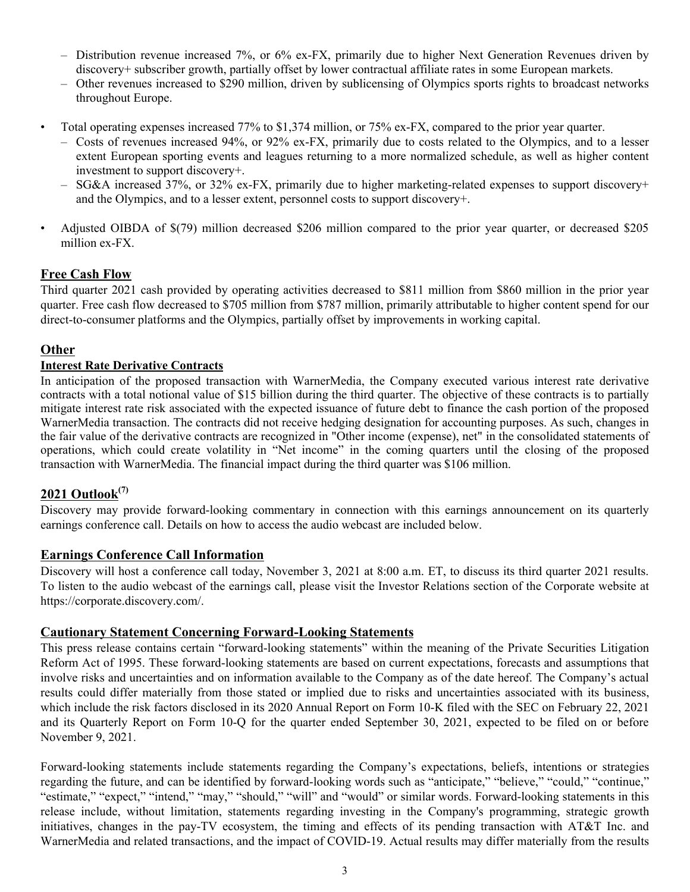- Distribution revenue increased 7%, or 6% ex-FX, primarily due to higher Next Generation Revenues driven by discovery+ subscriber growth, partially offset by lower contractual affiliate rates in some European markets.
- Other revenues increased to \$290 million, driven by sublicensing of Olympics sports rights to broadcast networks throughout Europe.
- Total operating expenses increased 77% to \$1,374 million, or 75% ex-FX, compared to the prior year quarter.
	- Costs of revenues increased 94%, or 92% ex-FX, primarily due to costs related to the Olympics, and to a lesser extent European sporting events and leagues returning to a more normalized schedule, as well as higher content investment to support discovery+.
	- SG&A increased 37%, or 32% ex-FX, primarily due to higher marketing-related expenses to support discovery+ and the Olympics, and to a lesser extent, personnel costs to support discovery+.
- Adjusted OIBDA of \$(79) million decreased \$206 million compared to the prior year quarter, or decreased \$205 million ex-FX.

## **Free Cash Flow**

Third quarter 2021 cash provided by operating activities decreased to \$811 million from \$860 million in the prior year quarter. Free cash flow decreased to \$705 million from \$787 million, primarily attributable to higher content spend for our direct-to-consumer platforms and the Olympics, partially offset by improvements in working capital.

## **Other**

## **Interest Rate Derivative Contracts**

In anticipation of the proposed transaction with WarnerMedia, the Company executed various interest rate derivative contracts with a total notional value of \$15 billion during the third quarter. The objective of these contracts is to partially mitigate interest rate risk associated with the expected issuance of future debt to finance the cash portion of the proposed WarnerMedia transaction. The contracts did not receive hedging designation for accounting purposes. As such, changes in the fair value of the derivative contracts are recognized in "Other income (expense), net" in the consolidated statements of operations, which could create volatility in "Net income" in the coming quarters until the closing of the proposed transaction with WarnerMedia. The financial impact during the third quarter was \$106 million.

# **2021 Outlook(7)**

Discovery may provide forward-looking commentary in connection with this earnings announcement on its quarterly earnings conference call. Details on how to access the audio webcast are included below.

## **Earnings Conference Call Information**

Discovery will host a conference call today, November 3, 2021 at 8:00 a.m. ET, to discuss its third quarter 2021 results. To listen to the audio webcast of the earnings call, please visit the Investor Relations section of the Corporate website at https://corporate.discovery.com/.

## **Cautionary Statement Concerning Forward-Looking Statements**

This press release contains certain "forward-looking statements" within the meaning of the Private Securities Litigation Reform Act of 1995. These forward-looking statements are based on current expectations, forecasts and assumptions that involve risks and uncertainties and on information available to the Company as of the date hereof. The Company's actual results could differ materially from those stated or implied due to risks and uncertainties associated with its business, which include the risk factors disclosed in its 2020 Annual Report on Form 10-K filed with the SEC on February 22, 2021 and its Quarterly Report on Form 10-Q for the quarter ended September 30, 2021, expected to be filed on or before November 9, 2021.

Forward-looking statements include statements regarding the Company's expectations, beliefs, intentions or strategies regarding the future, and can be identified by forward-looking words such as "anticipate," "believe," "could," "continue," "estimate," "expect," "intend," "may," "should," "will" and "would" or similar words. Forward-looking statements in this release include, without limitation, statements regarding investing in the Company's programming, strategic growth initiatives, changes in the pay-TV ecosystem, the timing and effects of its pending transaction with AT&T Inc. and WarnerMedia and related transactions, and the impact of COVID-19. Actual results may differ materially from the results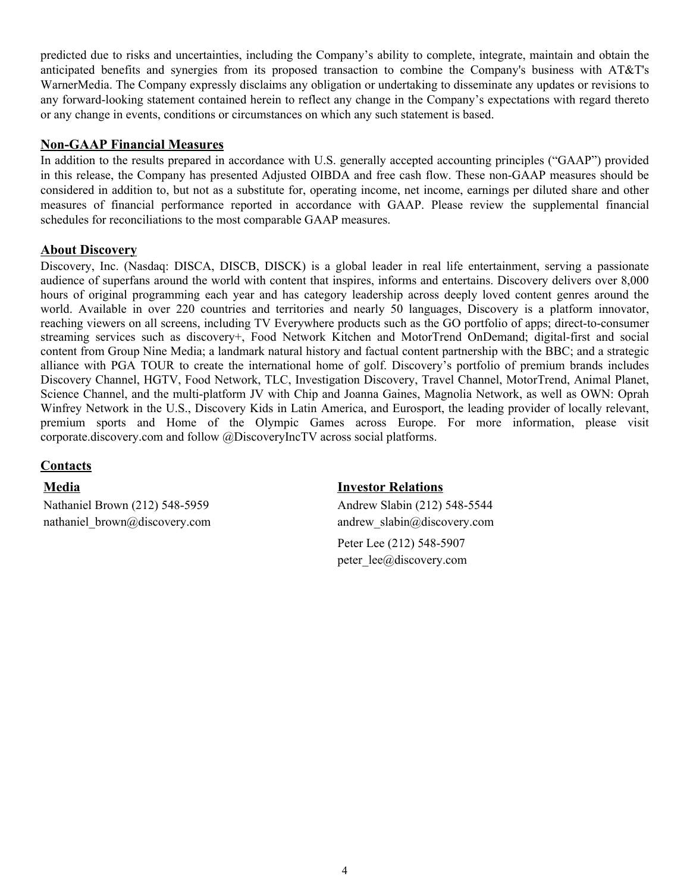predicted due to risks and uncertainties, including the Company's ability to complete, integrate, maintain and obtain the anticipated benefits and synergies from its proposed transaction to combine the Company's business with AT&T's WarnerMedia. The Company expressly disclaims any obligation or undertaking to disseminate any updates or revisions to any forward-looking statement contained herein to reflect any change in the Company's expectations with regard thereto or any change in events, conditions or circumstances on which any such statement is based.

## **Non-GAAP Financial Measures**

In addition to the results prepared in accordance with U.S. generally accepted accounting principles ("GAAP") provided in this release, the Company has presented Adjusted OIBDA and free cash flow. These non-GAAP measures should be considered in addition to, but not as a substitute for, operating income, net income, earnings per diluted share and other measures of financial performance reported in accordance with GAAP. Please review the supplemental financial schedules for reconciliations to the most comparable GAAP measures.

#### **About Discovery**

Discovery, Inc. (Nasdaq: DISCA, DISCB, DISCK) is a global leader in real life entertainment, serving a passionate audience of superfans around the world with content that inspires, informs and entertains. Discovery delivers over 8,000 hours of original programming each year and has category leadership across deeply loved content genres around the world. Available in over 220 countries and territories and nearly 50 languages, Discovery is a platform innovator, reaching viewers on all screens, including TV Everywhere products such as the GO portfolio of apps; direct-to-consumer streaming services such as discovery+, Food Network Kitchen and MotorTrend OnDemand; digital-first and social content from Group Nine Media; a landmark natural history and factual content partnership with the BBC; and a strategic alliance with PGA TOUR to create the international home of golf. Discovery's portfolio of premium brands includes Discovery Channel, HGTV, Food Network, TLC, Investigation Discovery, Travel Channel, MotorTrend, Animal Planet, Science Channel, and the multi-platform JV with Chip and Joanna Gaines, Magnolia Network, as well as OWN: Oprah Winfrey Network in the U.S., Discovery Kids in Latin America, and Eurosport, the leading provider of locally relevant, premium sports and Home of the Olympic Games across Europe. For more information, please visit corporate.discovery.com and follow @DiscoveryIncTV across social platforms.

## **Contacts**

Nathaniel Brown (212) 548-5959 Andrew Slabin (212) 548-5544 nathaniel\_brown@discovery.com andrew\_slabin@discovery.com

## **Media Investor Relations**

Peter Lee (212) 548-5907

peter\_lee@discovery.com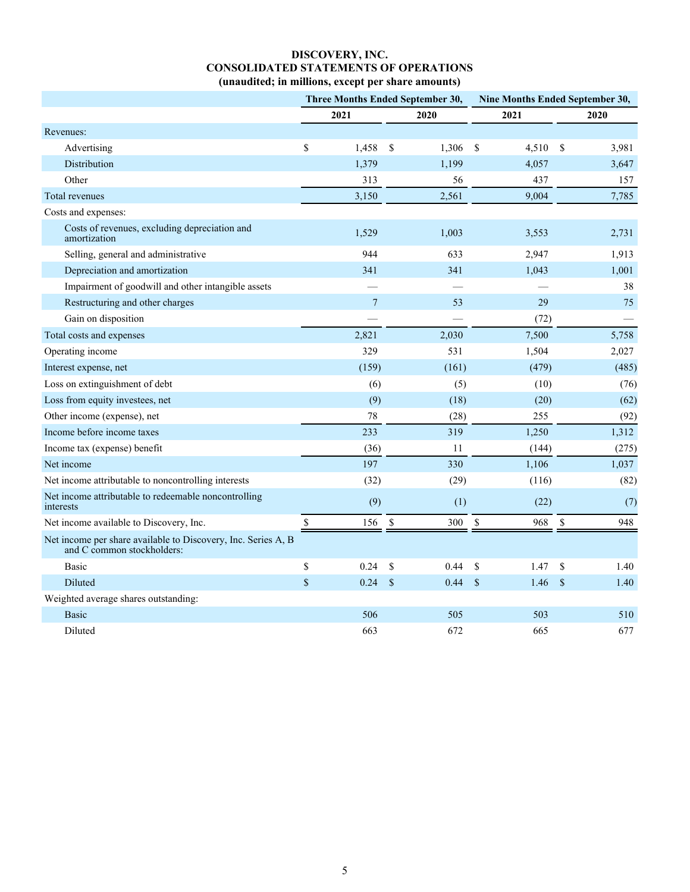#### **DISCOVERY, INC. CONSOLIDATED STATEMENTS OF OPERATIONS (unaudited; in millions, except per share amounts)**

|                                                                                             |             |                 |                    | Three Months Ended September 30, | Nine Months Ended September 30, |       |               |       |  |
|---------------------------------------------------------------------------------------------|-------------|-----------------|--------------------|----------------------------------|---------------------------------|-------|---------------|-------|--|
|                                                                                             |             | 2021            |                    | 2020                             |                                 | 2021  |               | 2020  |  |
| Revenues:                                                                                   |             |                 |                    |                                  |                                 |       |               |       |  |
| Advertising                                                                                 | \$          | 1,458           | $\mathbf{\$}$      | 1,306                            | \$                              | 4,510 | \$            | 3,981 |  |
| Distribution                                                                                |             | 1,379           |                    | 1,199                            |                                 | 4,057 |               | 3,647 |  |
| Other                                                                                       |             | 313             |                    | 56                               |                                 | 437   |               | 157   |  |
| Total revenues                                                                              |             | 3,150           |                    | 2,561                            |                                 | 9,004 |               | 7,785 |  |
| Costs and expenses:                                                                         |             |                 |                    |                                  |                                 |       |               |       |  |
| Costs of revenues, excluding depreciation and<br>amortization                               |             | 1,529           |                    | 1,003                            |                                 | 3,553 |               | 2,731 |  |
| Selling, general and administrative                                                         |             | 944             |                    | 633                              |                                 | 2,947 |               | 1,913 |  |
| Depreciation and amortization                                                               |             | 341             |                    | 341                              |                                 | 1,043 |               | 1,001 |  |
| Impairment of goodwill and other intangible assets                                          |             |                 |                    |                                  |                                 |       |               | 38    |  |
| Restructuring and other charges                                                             |             | $7\overline{ }$ |                    | 53                               |                                 | 29    |               | 75    |  |
| Gain on disposition                                                                         |             |                 |                    |                                  |                                 | (72)  |               |       |  |
| Total costs and expenses                                                                    |             | 2,821           |                    | 2,030                            |                                 | 7,500 |               | 5,758 |  |
| Operating income                                                                            |             | 329             |                    | 531                              |                                 | 1,504 |               | 2,027 |  |
| Interest expense, net                                                                       |             | (159)           |                    | (161)                            |                                 | (479) |               | (485) |  |
| Loss on extinguishment of debt                                                              |             | (6)             |                    | (5)                              |                                 | (10)  |               | (76)  |  |
| Loss from equity investees, net                                                             |             | (9)             |                    | (18)                             |                                 | (20)  |               | (62)  |  |
| Other income (expense), net                                                                 |             | $78\,$          |                    | (28)                             |                                 | 255   |               | (92)  |  |
| Income before income taxes                                                                  |             | 233             |                    | 319                              |                                 | 1,250 |               | 1,312 |  |
| Income tax (expense) benefit                                                                |             | (36)            |                    | 11                               |                                 | (144) |               | (275) |  |
| Net income                                                                                  |             | 197             |                    | 330                              |                                 | 1,106 |               | 1,037 |  |
| Net income attributable to noncontrolling interests                                         |             | (32)            |                    | (29)                             |                                 | (116) |               | (82)  |  |
| Net income attributable to redeemable noncontrolling<br>interests                           |             | (9)             |                    | (1)                              |                                 | (22)  |               | (7)   |  |
| Net income available to Discovery, Inc.                                                     | $\mathbb S$ | 156             | $\mathbb S$        | 300                              | \$                              | 968   | \$            | 948   |  |
| Net income per share available to Discovery, Inc. Series A, B<br>and C common stockholders: |             |                 |                    |                                  |                                 |       |               |       |  |
| Basic                                                                                       | \$          | 0.24            | $\mathbb S$        | 0.44                             | \$                              | 1.47  | \$            | 1.40  |  |
| Diluted                                                                                     | \$          | 0.24            | $\mathbf{\hat{s}}$ | 0.44                             | $\mathbf S$                     | 1.46  | $\mathsf{\$}$ | 1.40  |  |
| Weighted average shares outstanding:                                                        |             |                 |                    |                                  |                                 |       |               |       |  |
| <b>Basic</b>                                                                                |             | 506             |                    | 505                              |                                 | 503   |               | 510   |  |
| Diluted                                                                                     |             | 663             |                    | 672                              |                                 | 665   |               | 677   |  |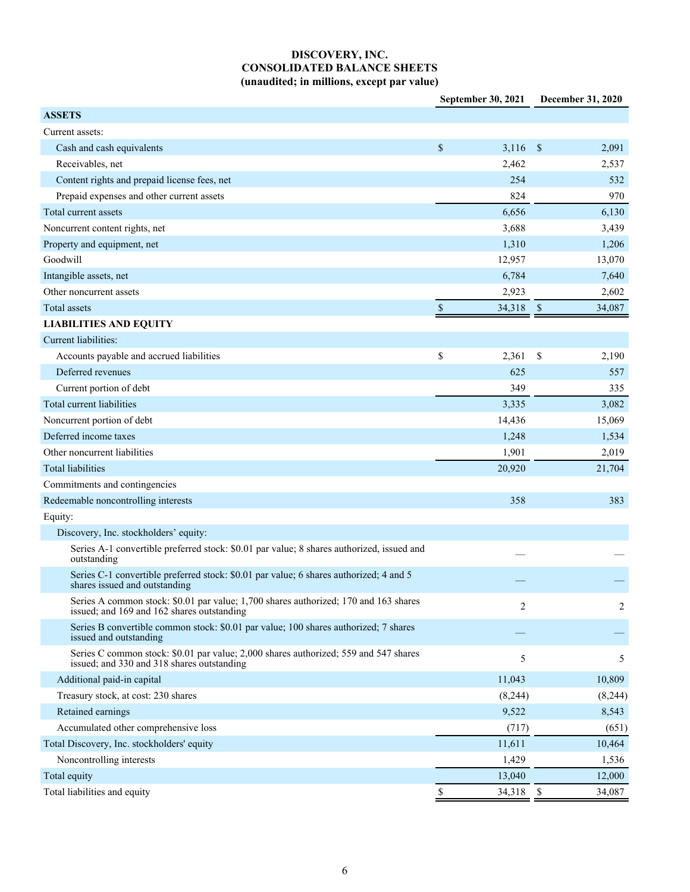#### **DISCOVERY, INC. CONSOLIDATED BALANCE SHEETS (unaudited; in millions, except par value)**

|                                                                                                                                    | September 30, 2021 | <b>December 31, 2020</b> |
|------------------------------------------------------------------------------------------------------------------------------------|--------------------|--------------------------|
| <b>ASSETS</b>                                                                                                                      |                    |                          |
| Current assets:                                                                                                                    |                    |                          |
| Cash and cash equivalents                                                                                                          | \$<br>3,116        | $\mathbf{\$}$<br>2,091   |
| Receivables, net                                                                                                                   | 2,462              | 2,537                    |
| Content rights and prepaid license fees, net                                                                                       | 254                | 532                      |
| Prepaid expenses and other current assets                                                                                          | 824                | 970                      |
| Total current assets                                                                                                               | 6,656              | 6,130                    |
| Noncurrent content rights, net                                                                                                     | 3,688              | 3,439                    |
| Property and equipment, net                                                                                                        | 1,310              | 1,206                    |
| Goodwill                                                                                                                           | 12,957             | 13,070                   |
| Intangible assets, net                                                                                                             | 6,784              | 7,640                    |
| Other noncurrent assets                                                                                                            | 2,923              | 2,602                    |
| <b>Total assets</b>                                                                                                                | 34,318<br>\$       | $\mathcal{S}$<br>34,087  |
| <b>LIABILITIES AND EQUITY</b>                                                                                                      |                    |                          |
| Current liabilities:                                                                                                               |                    |                          |
| Accounts payable and accrued liabilities                                                                                           | \$<br>2,361        | \$<br>2,190              |
| Deferred revenues                                                                                                                  | 625                | 557                      |
| Current portion of debt                                                                                                            | 349                | 335                      |
| Total current liabilities                                                                                                          | 3,335              | 3,082                    |
| Noncurrent portion of debt                                                                                                         | 14,436             | 15,069                   |
| Deferred income taxes                                                                                                              | 1,248              | 1,534                    |
| Other noncurrent liabilities                                                                                                       | 1,901              | 2,019                    |
| <b>Total liabilities</b>                                                                                                           | 20,920             | 21,704                   |
| Commitments and contingencies                                                                                                      |                    |                          |
| Redeemable noncontrolling interests                                                                                                | 358                | 383                      |
| Equity:                                                                                                                            |                    |                          |
| Discovery, Inc. stockholders' equity:                                                                                              |                    |                          |
| Series A-1 convertible preferred stock: \$0.01 par value; 8 shares authorized, issued and<br>outstanding                           |                    |                          |
| Series C-1 convertible preferred stock: \$0.01 par value; 6 shares authorized; 4 and 5<br>shares issued and outstanding            |                    |                          |
| Series A common stock: \$0.01 par value; 1,700 shares authorized; 170 and 163 shares<br>issued; and 169 and 162 shares outstanding | 2                  | 2                        |
| Series B convertible common stock: \$0.01 par value; 100 shares authorized; 7 shares<br>issued and outstanding                     |                    |                          |
| Series C common stock: \$0.01 par value; 2,000 shares authorized; 559 and 547 shares<br>issued; and 330 and 318 shares outstanding | 5                  | 5                        |
| Additional paid-in capital                                                                                                         | 11,043             | 10,809                   |
| Treasury stock, at cost: 230 shares                                                                                                | (8,244)            | (8,244)                  |
| Retained earnings                                                                                                                  | 9,522              | 8,543                    |
| Accumulated other comprehensive loss                                                                                               | (717)              | (651)                    |
| Total Discovery, Inc. stockholders' equity                                                                                         | 11,611             | 10,464                   |
| Noncontrolling interests                                                                                                           | 1,429              | 1,536                    |
| Total equity                                                                                                                       | 13,040             | 12,000                   |
| Total liabilities and equity                                                                                                       | \$<br>34,318       | \$<br>34,087             |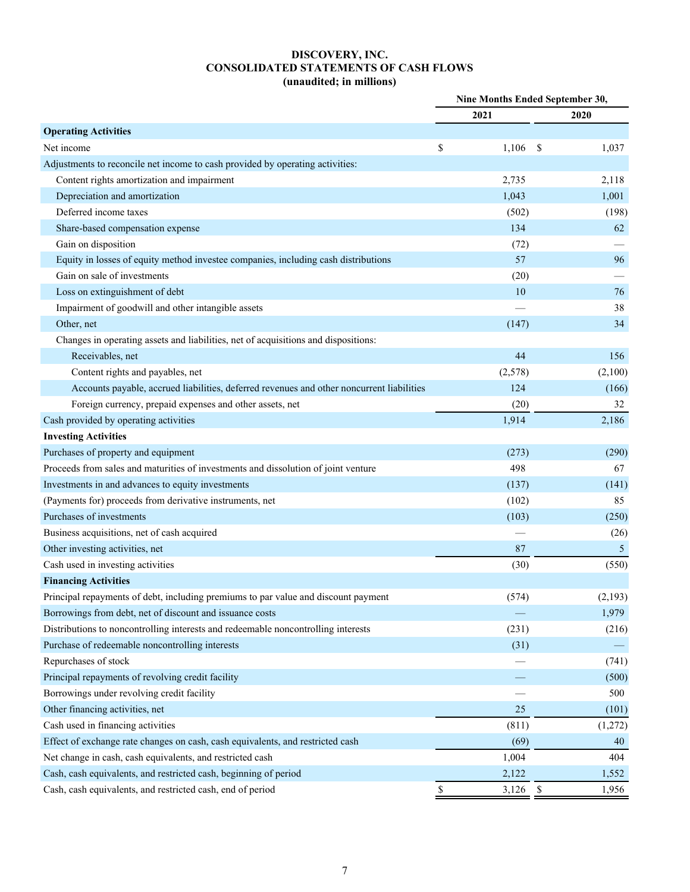#### **DISCOVERY, INC. CONSOLIDATED STATEMENTS OF CASH FLOWS (unaudited; in millions)**

|                                                                                           |             | Nine Months Ended September 30, |      |         |
|-------------------------------------------------------------------------------------------|-------------|---------------------------------|------|---------|
|                                                                                           |             | 2021                            |      | 2020    |
| <b>Operating Activities</b>                                                               |             |                                 |      |         |
| Net income                                                                                | \$          | 1,106                           | S    | 1,037   |
| Adjustments to reconcile net income to cash provided by operating activities:             |             |                                 |      |         |
| Content rights amortization and impairment                                                |             | 2,735                           |      | 2,118   |
| Depreciation and amortization                                                             |             | 1,043                           |      | 1,001   |
| Deferred income taxes                                                                     |             | (502)                           |      | (198)   |
| Share-based compensation expense                                                          |             | 134                             |      | 62      |
| Gain on disposition                                                                       |             | (72)                            |      |         |
| Equity in losses of equity method investee companies, including cash distributions        |             | 57                              |      | 96      |
| Gain on sale of investments                                                               |             | (20)                            |      |         |
| Loss on extinguishment of debt                                                            |             | 10                              |      | 76      |
| Impairment of goodwill and other intangible assets                                        |             |                                 |      | 38      |
| Other, net                                                                                |             | (147)                           |      | 34      |
| Changes in operating assets and liabilities, net of acquisitions and dispositions:        |             |                                 |      |         |
| Receivables, net                                                                          |             | 44                              |      | 156     |
| Content rights and payables, net                                                          |             | (2,578)                         |      | (2,100) |
| Accounts payable, accrued liabilities, deferred revenues and other noncurrent liabilities |             | 124                             |      | (166)   |
| Foreign currency, prepaid expenses and other assets, net                                  |             | (20)                            |      | 32      |
| Cash provided by operating activities                                                     |             | 1,914                           |      | 2,186   |
| <b>Investing Activities</b>                                                               |             |                                 |      |         |
| Purchases of property and equipment                                                       |             | (273)                           |      | (290)   |
| Proceeds from sales and maturities of investments and dissolution of joint venture        |             | 498                             |      | 67      |
| Investments in and advances to equity investments                                         |             | (137)                           |      | (141)   |
| (Payments for) proceeds from derivative instruments, net                                  |             | (102)                           |      | 85      |
| Purchases of investments                                                                  |             | (103)                           |      | (250)   |
| Business acquisitions, net of cash acquired                                               |             |                                 |      | (26)    |
| Other investing activities, net                                                           |             | 87                              |      | 5       |
| Cash used in investing activities                                                         |             | (30)                            |      | (550)   |
| <b>Financing Activities</b>                                                               |             |                                 |      |         |
| Principal repayments of debt, including premiums to par value and discount payment        |             | (574)                           |      | (2,193) |
| Borrowings from debt, net of discount and issuance costs                                  |             |                                 |      | 1,979   |
| Distributions to noncontrolling interests and redeemable noncontrolling interests         |             | (231)                           |      | (216)   |
| Purchase of redeemable noncontrolling interests                                           |             | (31)                            |      |         |
| Repurchases of stock                                                                      |             |                                 |      | (741)   |
| Principal repayments of revolving credit facility                                         |             |                                 |      | (500)   |
| Borrowings under revolving credit facility                                                |             |                                 |      | 500     |
| Other financing activities, net                                                           |             | 25                              |      | (101)   |
| Cash used in financing activities                                                         |             | (811)                           |      | (1,272) |
| Effect of exchange rate changes on cash, cash equivalents, and restricted cash            |             | (69)                            |      | 40      |
| Net change in cash, cash equivalents, and restricted cash                                 |             | 1,004                           |      | 404     |
| Cash, cash equivalents, and restricted cash, beginning of period                          |             | 2,122                           |      | 1,552   |
| Cash, cash equivalents, and restricted cash, end of period                                | $\mathbb S$ | 3,126                           | $\$$ | 1,956   |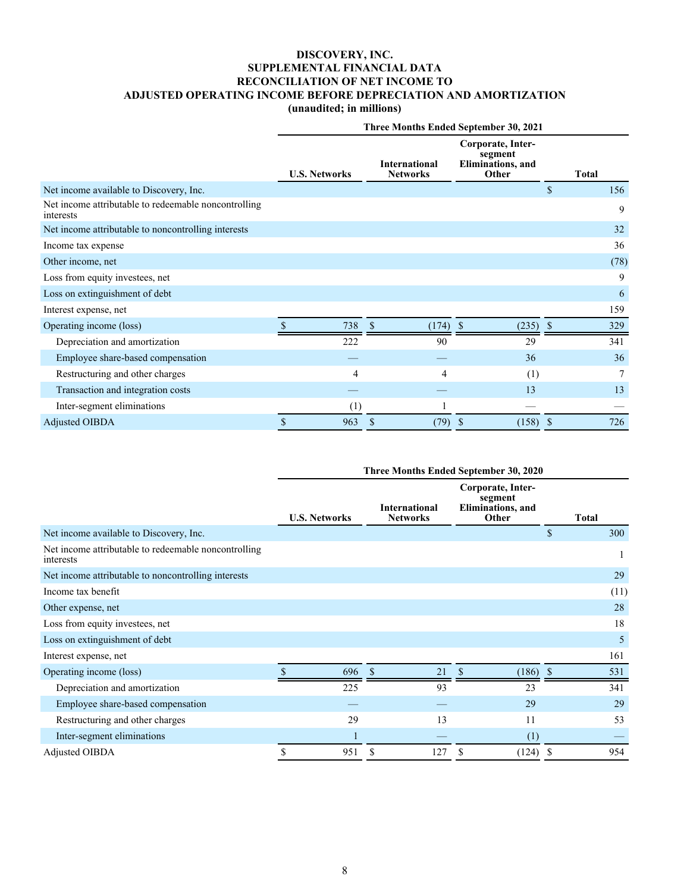## **DISCOVERY, INC. SUPPLEMENTAL FINANCIAL DATA RECONCILIATION OF NET INCOME TO ADJUSTED OPERATING INCOME BEFORE DEPRECIATION AND AMORTIZATION**

#### **(unaudited; in millions)**

|                                                                   |                      |     |                    |                                         | Three Months Ended September 30, 2021                              |                    |              |
|-------------------------------------------------------------------|----------------------|-----|--------------------|-----------------------------------------|--------------------------------------------------------------------|--------------------|--------------|
|                                                                   | <b>U.S. Networks</b> |     |                    | <b>International</b><br><b>Networks</b> | Corporate, Inter-<br>segment<br><b>Eliminations</b> , and<br>Other |                    | <b>Total</b> |
| Net income available to Discovery, Inc.                           |                      |     |                    |                                         |                                                                    | $\mathbf S$        | 156          |
| Net income attributable to redeemable noncontrolling<br>interests |                      |     |                    |                                         |                                                                    |                    | 9            |
| Net income attributable to noncontrolling interests               |                      |     |                    |                                         |                                                                    |                    | 32           |
| Income tax expense                                                |                      |     |                    |                                         |                                                                    |                    | 36           |
| Other income, net                                                 |                      |     |                    |                                         |                                                                    |                    | (78)         |
| Loss from equity investees, net                                   |                      |     |                    |                                         |                                                                    |                    | 9            |
| Loss on extinguishment of debt                                    |                      |     |                    |                                         |                                                                    |                    | 6            |
| Interest expense, net                                             |                      |     |                    |                                         |                                                                    |                    | 159          |
| Operating income (loss)                                           |                      | 738 | $\mathbf{\hat{S}}$ | (174)                                   | $\mathcal{S}$<br>(235)                                             | $\mathbf{\hat{s}}$ | 329          |
| Depreciation and amortization                                     |                      | 222 |                    | 90                                      | 29                                                                 |                    | 341          |
| Employee share-based compensation                                 |                      |     |                    |                                         | 36                                                                 |                    | 36           |
| Restructuring and other charges                                   |                      | 4   |                    | 4                                       | (1)                                                                |                    | 7            |
| Transaction and integration costs                                 |                      |     |                    |                                         | 13                                                                 |                    | 13           |
| Inter-segment eliminations                                        |                      | (1) |                    |                                         |                                                                    |                    |              |
| <b>Adjusted OIBDA</b>                                             | $\mathbf{\hat{s}}$   | 963 | $\mathbf{\$}$      | (79)                                    | $\mathbf S$<br>$(158)$ \$                                          |                    | 726          |

|                                                                   |                      |    | Three Months Ended September 30, 2020   |                                                                    |              |       |
|-------------------------------------------------------------------|----------------------|----|-----------------------------------------|--------------------------------------------------------------------|--------------|-------|
|                                                                   | <b>U.S. Networks</b> |    | <b>International</b><br><b>Networks</b> | Corporate, Inter-<br>segment<br><b>Eliminations</b> , and<br>Other |              | Total |
| Net income available to Discovery, Inc.                           |                      |    |                                         |                                                                    | \$           | 300   |
| Net income attributable to redeemable noncontrolling<br>interests |                      |    |                                         |                                                                    |              |       |
| Net income attributable to noncontrolling interests               |                      |    |                                         |                                                                    |              | 29    |
| Income tax benefit                                                |                      |    |                                         |                                                                    |              | (11)  |
| Other expense, net                                                |                      |    |                                         |                                                                    |              | 28    |
| Loss from equity investees, net                                   |                      |    |                                         |                                                                    |              | 18    |
| Loss on extinguishment of debt                                    |                      |    |                                         |                                                                    |              | 5     |
| Interest expense, net                                             |                      |    |                                         |                                                                    |              | 161   |
| Operating income (loss)                                           | 696                  | S  | 21                                      | \$<br>(186)                                                        | <sup>S</sup> | 531   |
| Depreciation and amortization                                     | 225                  |    | 93                                      | 23                                                                 |              | 341   |
| Employee share-based compensation                                 |                      |    |                                         | 29                                                                 |              | 29    |
| Restructuring and other charges                                   | 29                   |    | 13                                      | 11                                                                 |              | 53    |
| Inter-segment eliminations                                        |                      |    |                                         | (1)                                                                |              |       |
| Adjusted OIBDA                                                    | \$<br>951            | \$ | 127                                     | (124)                                                              | -S           | 954   |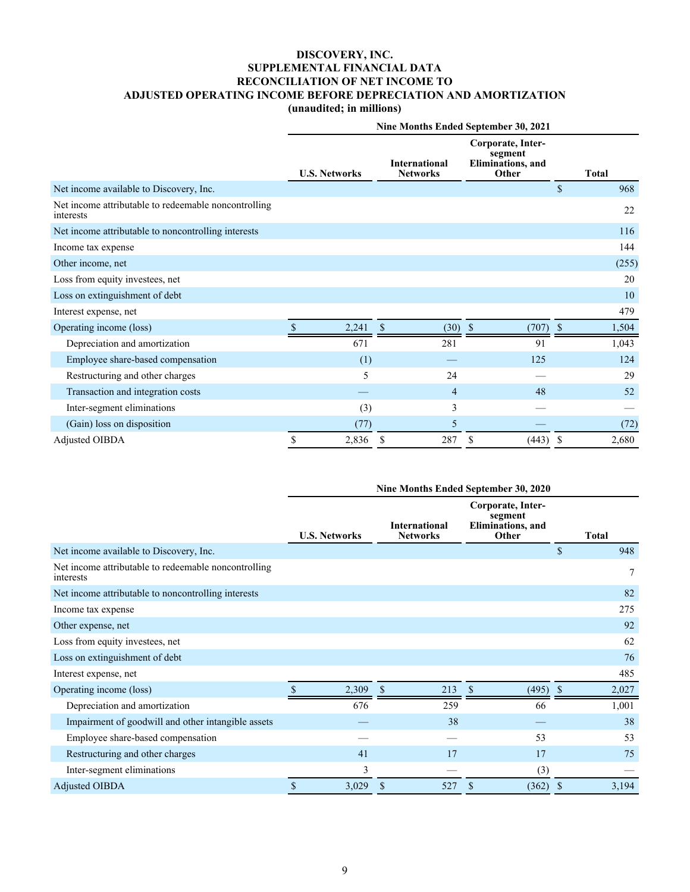## **DISCOVERY, INC. SUPPLEMENTAL FINANCIAL DATA RECONCILIATION OF NET INCOME TO ADJUSTED OPERATING INCOME BEFORE DEPRECIATION AND AMORTIZATION**

**(unaudited; in millions)**

|                                                                   |                      |               | Nine Months Ended September 30, 2021    |                                                                    |             |              |
|-------------------------------------------------------------------|----------------------|---------------|-----------------------------------------|--------------------------------------------------------------------|-------------|--------------|
|                                                                   | <b>U.S. Networks</b> |               | <b>International</b><br><b>Networks</b> | Corporate, Inter-<br>segment<br><b>Eliminations</b> , and<br>Other |             | <b>Total</b> |
| Net income available to Discovery, Inc.                           |                      |               |                                         |                                                                    | $\mathbf S$ | 968          |
| Net income attributable to redeemable noncontrolling<br>interests |                      |               |                                         |                                                                    |             | 22           |
| Net income attributable to noncontrolling interests               |                      |               |                                         |                                                                    |             | 116          |
| Income tax expense                                                |                      |               |                                         |                                                                    |             | 144          |
| Other income, net                                                 |                      |               |                                         |                                                                    |             | (255)        |
| Loss from equity investees, net                                   |                      |               |                                         |                                                                    |             | 20           |
| Loss on extinguishment of debt                                    |                      |               |                                         |                                                                    |             | 10           |
| Interest expense, net                                             |                      |               |                                         |                                                                    |             | 479          |
| Operating income (loss)                                           | 2,241                | \$            | $(30)$ \$                               | (707)                                                              | -S          | 1,504        |
| Depreciation and amortization                                     | 671                  |               | 281                                     | 91                                                                 |             | 1,043        |
| Employee share-based compensation                                 | (1)                  |               |                                         | 125                                                                |             | 124          |
| Restructuring and other charges                                   | 5                    |               | 24                                      |                                                                    |             | 29           |
| Transaction and integration costs                                 |                      |               | $\overline{4}$                          | 48                                                                 |             | 52           |
| Inter-segment eliminations                                        | (3)                  |               | 3                                       |                                                                    |             |              |
| (Gain) loss on disposition                                        | (77)                 |               | 5                                       |                                                                    |             | (72)         |
| Adjusted OIBDA                                                    | \$<br>2,836          | <sup>\$</sup> | 287                                     | \$<br>$(443)$ \$                                                   |             | 2,680        |

|                                                                   |                      |               |                                         | Nine Months Ended September 30, 2020                       |    |              |
|-------------------------------------------------------------------|----------------------|---------------|-----------------------------------------|------------------------------------------------------------|----|--------------|
|                                                                   | <b>U.S. Networks</b> |               | <b>International</b><br><b>Networks</b> | Corporate, Inter-<br>segment<br>Eliminations, and<br>Other |    | <b>Total</b> |
| Net income available to Discovery, Inc.                           |                      |               |                                         |                                                            | \$ | 948          |
| Net income attributable to redeemable noncontrolling<br>interests |                      |               |                                         |                                                            |    | 7            |
| Net income attributable to noncontrolling interests               |                      |               |                                         |                                                            |    | 82           |
| Income tax expense                                                |                      |               |                                         |                                                            |    | 275          |
| Other expense, net                                                |                      |               |                                         |                                                            |    | 92           |
| Loss from equity investees, net                                   |                      |               |                                         |                                                            |    | 62           |
| Loss on extinguishment of debt                                    |                      |               |                                         |                                                            |    | 76           |
| Interest expense, net                                             |                      |               |                                         |                                                            |    | 485          |
| Operating income (loss)                                           | 2,309                | <sup>S</sup>  | 213                                     | <sup>\$</sup><br>(495)                                     | -S | 2,027        |
| Depreciation and amortization                                     | 676                  |               | 259                                     | 66                                                         |    | 1,001        |
| Impairment of goodwill and other intangible assets                |                      |               | 38                                      |                                                            |    | 38           |
| Employee share-based compensation                                 |                      |               |                                         | 53                                                         |    | 53           |
| Restructuring and other charges                                   | 41                   |               | 17                                      | 17                                                         |    | 75           |
| Inter-segment eliminations                                        | 3                    |               |                                         | (3)                                                        |    |              |
| <b>Adjusted OIBDA</b>                                             | \$<br>3,029          | <sup>\$</sup> | 527                                     | \$<br>$(362)$ \$                                           |    | 3,194        |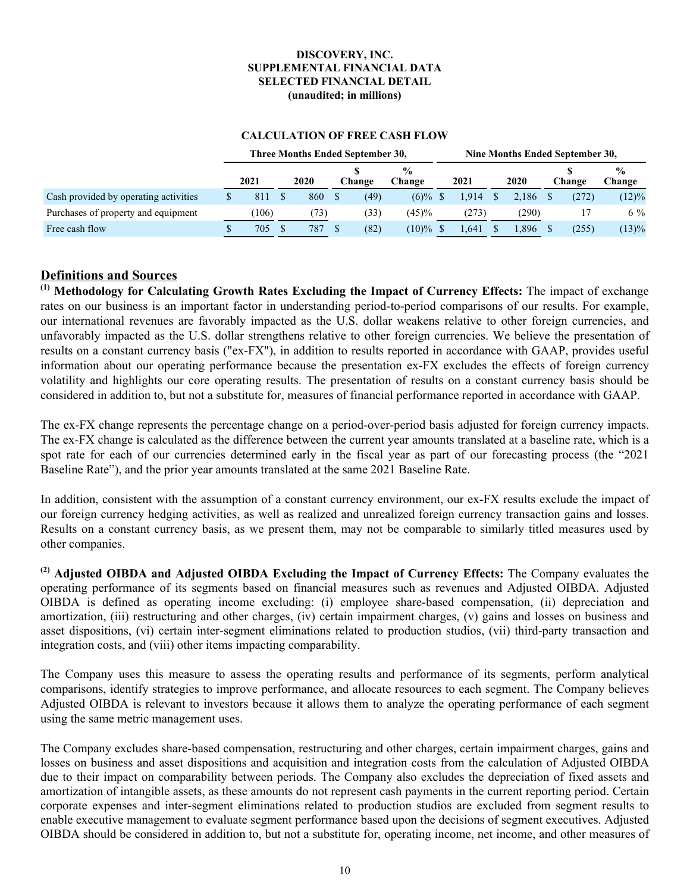#### **DISCOVERY, INC. SUPPLEMENTAL FINANCIAL DATA SELECTED FINANCIAL DETAIL (unaudited; in millions)**

#### **CALCULATION OF FREE CASH FLOW**

|                                       |       |      |  | Three Months Ended September 30, | Nine Months Ended September 30, |  |       |  |       |  |        |                         |
|---------------------------------------|-------|------|--|----------------------------------|---------------------------------|--|-------|--|-------|--|--------|-------------------------|
|                                       | 2021  | 2020 |  | Change                           | $\frac{0}{0}$<br><b>Change</b>  |  | 2021  |  | 2020  |  | Change | $\frac{0}{0}$<br>Change |
| Cash provided by operating activities | 811   | 860  |  | (49)                             | $(6)\%$ \$                      |  | .914  |  | 2,186 |  | (272)  | (12)%                   |
| Purchases of property and equipment   | (106) | 73)  |  | (33)                             | (45)%                           |  | (273) |  | (290) |  |        | $6\%$                   |
| Free cash flow                        | 705   | 787  |  | (82)                             | $(10)\%$                        |  | .641  |  | .896  |  | (255)  | $(13)\%$                |

## **Definitions and Sources**

**(1) Methodology for Calculating Growth Rates Excluding the Impact of Currency Effects:** The impact of exchange rates on our business is an important factor in understanding period-to-period comparisons of our results. For example, our international revenues are favorably impacted as the U.S. dollar weakens relative to other foreign currencies, and unfavorably impacted as the U.S. dollar strengthens relative to other foreign currencies. We believe the presentation of results on a constant currency basis ("ex-FX"), in addition to results reported in accordance with GAAP, provides useful information about our operating performance because the presentation ex-FX excludes the effects of foreign currency volatility and highlights our core operating results. The presentation of results on a constant currency basis should be considered in addition to, but not a substitute for, measures of financial performance reported in accordance with GAAP.

The ex-FX change represents the percentage change on a period-over-period basis adjusted for foreign currency impacts. The ex-FX change is calculated as the difference between the current year amounts translated at a baseline rate, which is a spot rate for each of our currencies determined early in the fiscal year as part of our forecasting process (the "2021 Baseline Rate"), and the prior year amounts translated at the same 2021 Baseline Rate.

In addition, consistent with the assumption of a constant currency environment, our ex-FX results exclude the impact of our foreign currency hedging activities, as well as realized and unrealized foreign currency transaction gains and losses. Results on a constant currency basis, as we present them, may not be comparable to similarly titled measures used by other companies.

**(2) Adjusted OIBDA and Adjusted OIBDA Excluding the Impact of Currency Effects:** The Company evaluates the operating performance of its segments based on financial measures such as revenues and Adjusted OIBDA. Adjusted OIBDA is defined as operating income excluding: (i) employee share-based compensation, (ii) depreciation and amortization, (iii) restructuring and other charges, (iv) certain impairment charges, (v) gains and losses on business and asset dispositions, (vi) certain inter-segment eliminations related to production studios, (vii) third-party transaction and integration costs, and (viii) other items impacting comparability.

The Company uses this measure to assess the operating results and performance of its segments, perform analytical comparisons, identify strategies to improve performance, and allocate resources to each segment. The Company believes Adjusted OIBDA is relevant to investors because it allows them to analyze the operating performance of each segment using the same metric management uses.

The Company excludes share-based compensation, restructuring and other charges, certain impairment charges, gains and losses on business and asset dispositions and acquisition and integration costs from the calculation of Adjusted OIBDA due to their impact on comparability between periods. The Company also excludes the depreciation of fixed assets and amortization of intangible assets, as these amounts do not represent cash payments in the current reporting period. Certain corporate expenses and inter-segment eliminations related to production studios are excluded from segment results to enable executive management to evaluate segment performance based upon the decisions of segment executives. Adjusted OIBDA should be considered in addition to, but not a substitute for, operating income, net income, and other measures of